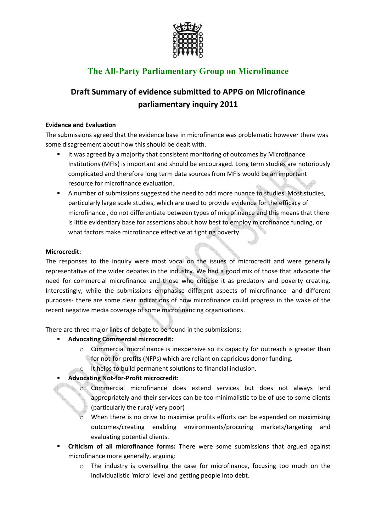

# **The All-Party Parliamentary Group on Microfinance**

## **Draft Summary of evidence submitted to APPG on Microfinance parliamentary inquiry 2011**

#### **Evidence and Evaluation**

The submissions agreed that the evidence base in microfinance was problematic however there was some disagreement about how this should be dealt with.

- It was agreed by a majority that consistent monitoring of outcomes by Microfinance Institutions (MFIs) is important and should be encouraged. Long term studies are notoriously complicated and therefore long term data sources from MFIs would be an important resource for microfinance evaluation.
- A number of submissions suggested the need to add more nuance to studies. Most studies, particularly large scale studies, which are used to provide evidence for the efficacy of microfinance , do not differentiate between types of microfinance and this means that there is little evidentiary base for assertions about how best to employ microfinance funding, or what factors make microfinance effective at fighting poverty.

#### **Microcredit:**

The responses to the inquiry were most vocal on the issues of microcredit and were generally representative of the wider debates in the industry. We had a good mix of those that advocate the need for commercial microfinance and those who criticise it as predatory and poverty creating. Interestingly, while the submissions emphasise different aspects of microfinance- and different purposes- there are some clear indications of how microfinance could progress in the wake of the recent negative media coverage of some microfinancing organisations.

There are three major lines of debate to be found in the submissions:

- **Advocating Commercial microcredit:**
	- o Commercial microfinance is inexpensive so its capacity for outreach is greater than for not-for-profits (NFPs) which are reliant on capricious donor funding.
		- It helps to build permanent solutions to financial inclusion.

## **Advocating Not-for-Profit microcredit**:

- o Commercial microfinance does extend services but does not always lend appropriately and their services can be too minimalistic to be of use to some clients (particularly the rural/ very poor)
- When there is no drive to maximise profits efforts can be expended on maximising outcomes/creating enabling environments/procuring markets/targeting and evaluating potential clients.
- **F** Criticism of all microfinance forms: There were some submissions that argued against microfinance more generally, arguing:
	- o The industry is overselling the case for microfinance, focusing too much on the individualistic 'micro' level and getting people into debt.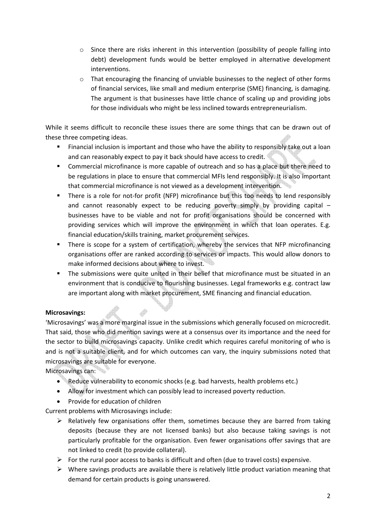- $\circ$  Since there are risks inherent in this intervention (possibility of people falling into debt) development funds would be better employed in alternative development interventions.
- o That encouraging the financing of unviable businesses to the neglect of other forms of financial services, like small and medium enterprise (SME) financing, is damaging. The argument is that businesses have little chance of scaling up and providing jobs for those individuals who might be less inclined towards entrepreneurialism.

While it seems difficult to reconcile these issues there are some things that can be drawn out of these three competing ideas.

- Financial inclusion is important and those who have the ability to responsibly take out a loan and can reasonably expect to pay it back should have access to credit.
- **EXP** Commercial microfinance is more capable of outreach and so has a place but there need to be regulations in place to ensure that commercial MFIs lend responsibly. It is also important that commercial microfinance is not viewed as a development intervention.
- There is a role for not-for profit (NFP) microfinance but this too needs to lend responsibly and cannot reasonably expect to be reducing poverty simply by providing capital  $$ businesses have to be viable and not for profit organisations should be concerned with providing services which will improve the environment in which that loan operates. E.g. financial education/skills training, market procurement services.
- **There is scope for a system of certification, whereby the services that NFP microfinancing** organisations offer are ranked according to services or impacts. This would allow donors to make informed decisions about where to invest.
- The submissions were quite united in their belief that microfinance must be situated in an environment that is conducive to flourishing businesses. Legal frameworks e.g. contract law are important along with market procurement, SME financing and financial education.

## **Microsavings:**

'Microsavings' was a more marginal issue in the submissions which generally focused on microcredit. That said, those who did mention savings were at a consensus over its importance and the need for the sector to build microsavings capacity. Unlike credit which requires careful monitoring of who is and is not a suitable client, and for which outcomes can vary, the inquiry submissions noted that microsavings are suitable for everyone.

Microsavings can:

- Reduce vulnerability to economic shocks (e.g. bad harvests, health problems etc.)
- Allow for investment which can possibly lead to increased poverty reduction.
- Provide for education of children

Current problems with Microsavings include:

- > Relatively few organisations offer them, sometimes because they are barred from taking deposits (because they are not licensed banks) but also because taking savings is not particularly profitable for the organisation. Even fewer organisations offer savings that are not linked to credit (to provide collateral).
- > For the rural poor access to banks is difficult and often (due to travel costs) expensive.
- Where savings products are available there is relatively little product variation meaning that demand for certain products is going unanswered.